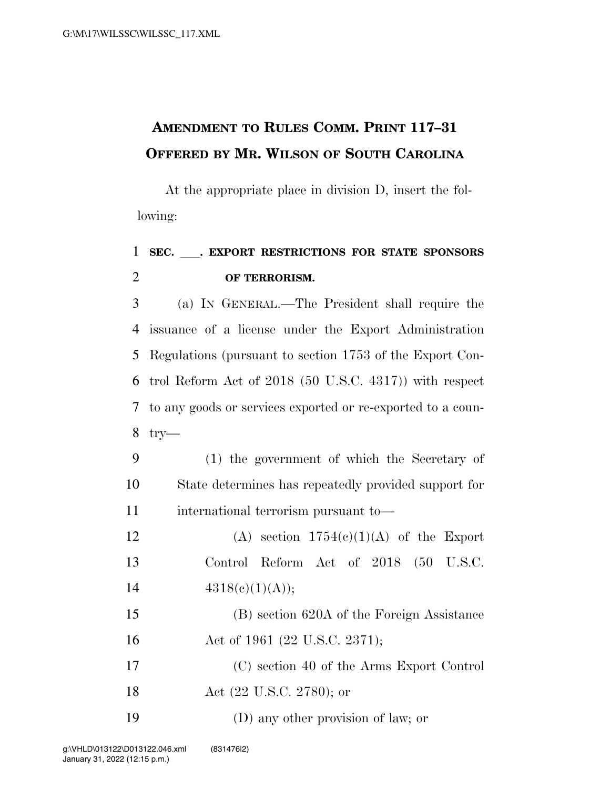## **AMENDMENT TO RULES COMM. PRINT 117–31 OFFERED BY MR. WILSON OF SOUTH CAROLINA**

At the appropriate place in division D, insert the following:

## <sup>1</sup> **SEC.** ll**. EXPORT RESTRICTIONS FOR STATE SPONSORS**  2 **OF TERRORISM.**

 (a) IN GENERAL.—The President shall require the issuance of a license under the Export Administration Regulations (pursuant to section 1753 of the Export Con- trol Reform Act of 2018 (50 U.S.C. 4317)) with respect to any goods or services exported or re-exported to a coun-8 try—

9 (1) the government of which the Secretary of 10 State determines has repeatedly provided support for 11 international terrorism pursuant to—

12 (A) section  $1754(c)(1)(A)$  of the Export 13 Control Reform Act of 2018 (50 U.S.C. 14  $4318(c)(1)(A));$ 

15 (B) section 620A of the Foreign Assistance 16 Act of 1961 (22 U.S.C. 2371);

17 (C) section 40 of the Arms Export Control

- 18 Act (22 U.S.C. 2780); or
- 19 (D) any other provision of law; or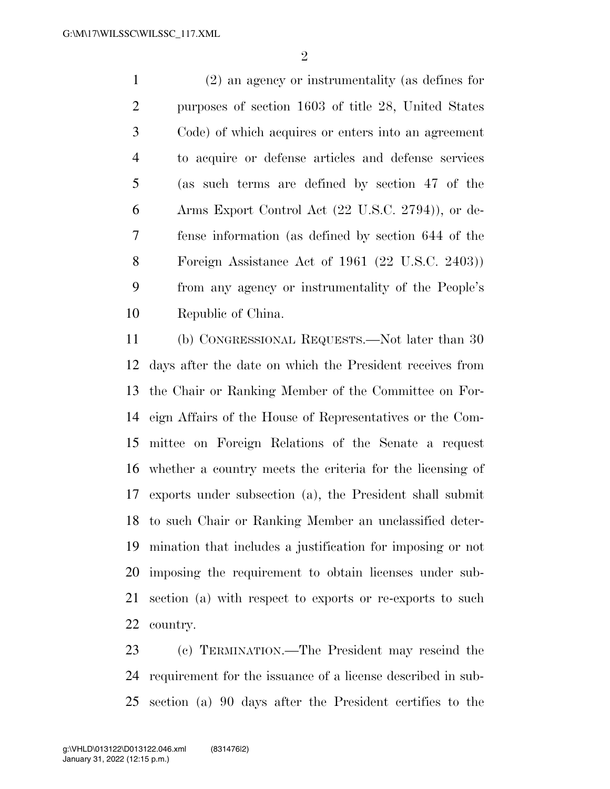(2) an agency or instrumentality (as defines for purposes of section 1603 of title 28, United States Code) of which acquires or enters into an agreement to acquire or defense articles and defense services (as such terms are defined by section 47 of the Arms Export Control Act (22 U.S.C. 2794)), or de- fense information (as defined by section 644 of the Foreign Assistance Act of 1961 (22 U.S.C. 2403)) from any agency or instrumentality of the People's Republic of China.

 (b) CONGRESSIONAL REQUESTS.—Not later than 30 days after the date on which the President receives from the Chair or Ranking Member of the Committee on For- eign Affairs of the House of Representatives or the Com- mittee on Foreign Relations of the Senate a request whether a country meets the criteria for the licensing of exports under subsection (a), the President shall submit to such Chair or Ranking Member an unclassified deter- mination that includes a justification for imposing or not imposing the requirement to obtain licenses under sub- section (a) with respect to exports or re-exports to such country.

 (c) TERMINATION.—The President may rescind the requirement for the issuance of a license described in sub-section (a) 90 days after the President certifies to the